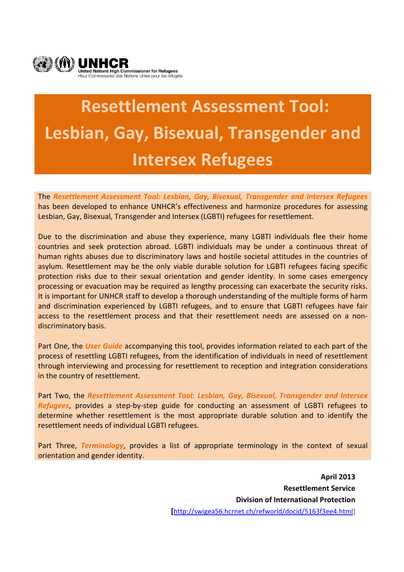

# **Resettlement Assessment Tool: Lesbian, Gay, Bisexual, Transgender and Intersex Refugees**

The *Resettlement Assessment Tool: Lesbian, Gay, Bisexual, Transgender and Intersex Refugees* has been developed to enhance UNHCR's effectiveness and harmonize procedures for assessing Lesbian, Gay, Bisexual, Transgender and Intersex (LGBTI) refugees for resettlement.

Due to the discrimination and abuse they experience, many LGBTI individuals flee their home countries and seek protection abroad. LGBTI individuals may be under a continuous threat of human rights abuses due to discriminatory laws and hostile societal attitudes in the countries of asylum. Resettlement may be the only viable durable solution for LGBTI refugees facing specific protection risks due to their sexual orientation and gender identity. In some cases emergency processing or evacuation may be required as lengthy processing can exacerbate the security risks. It is important for UNHCR staff to develop a thorough understanding of the multiple forms of harm and discrimination experienced by LGBTI refugees, and to ensure that LGBTI refugees have fair access to the resettlement process and that their resettlement needs are assessed on a non‐ discriminatory basis.

Part One, the *User Guide* accompanying this tool, provides information related to each part of the process of resettling LGBTI refugees, from the identification of individuals in need of resettlement through interviewing and processing for resettlement to reception and integration considerations in the country of resettlement.

Part Two, the *Resettlement Assessment Tool: Lesbian, Gay, Bisexual, Transgender and Intersex Refugees*, provides a step‐by‐step guide for conducting an assessment of LGBTI refugees to determine whether resettlement is the most appropriate durable solution and to identify the resettlement needs of individual LGBTI refugees.

Part Three, *Terminology*, provides a list of appropriate terminology in the context of sexual orientation and gender identity.

> **April 2013 Resettlement Service Division of International Protection [**http://swigea56.hcrnet.ch/refworld/docid/5163f3ee4.html]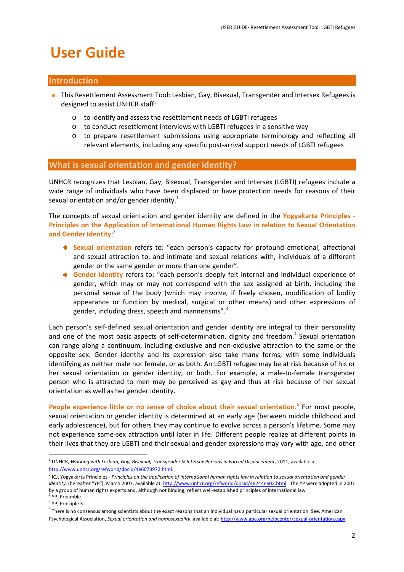## **User Guide**

## **Introduction**

- **This Resettlement Assessment Tool: Lesbian, Gay, Bisexual, Transgender and Intersex Refugees is** designed to assist UNHCR staff:
	- o to identify and assess the resettlement needs of LGBTI refugees
	- o to conduct resettlement interviews with LGBTI refugees in a sensitive way
	- o to prepare resettlement submissions using appropriate terminology and reflecting all relevant elements, including any specific post‐arrival support needs of LGBTI refugees

#### **What is sexual orientation and gender identity?**

UNHCR recognizes that Lesbian, Gay, Bisexual, Transgender and Intersex (LGBTI) refugees include a wide range of individuals who have been displaced or have protection needs for reasons of their sexual orientation and/or gender identity.<sup>1</sup>

The concepts of sexual orientation and gender identity are defined in the **Yogyakarta Principles ‐ Principles on the Application of International Human Rights Law in relation to Sexual Orientation and Gender Identity**: 2

- **Sexual orientation** refers to: "each person's capacity for profound emotional, affectional and sexual attraction to, and intimate and sexual relations with, individuals of a different gender or the same gender or more than one gender".
- **Gender identity** refers to: "each person's deeply felt internal and individual experience of gender, which may or may not correspond with the sex assigned at birth, including the personal sense of the body (which may involve, if freely chosen, modification of bodily appearance or function by medical, surgical or other means) and other expressions of gender, including dress, speech and mannerisms".<sup>3</sup>

Each person's self-defined sexual orientation and gender identity are integral to their personality and one of the most basic aspects of self-determination, dignity and freedom.<sup>4</sup> Sexual orientation can range along a continuum, including exclusive and non-exclusive attraction to the same or the opposite sex. Gender identity and its expression also take many forms, with some individuals identifying as neither male nor female, or as both. An LGBTI refugee may be at risk because of his or her sexual orientation or gender identity, or both. For example, a male-to-female transgender person who is attracted to men may be perceived as gay and thus at risk because of her sexual orientation as well as her gender identity.

**People experience little or no sense of choice about their sexual orientation.<sup>5</sup>** For most people, sexual orientation or gender identity is determined at an early age (between middle childhood and early adolescence), but for others they may continue to evolve across a person's lifetime. Some may not experience same‐sex attraction until later in life. Different people realize at different points in their lives that they are LGBTI and their sexual and gender expressions may vary with age, and other

<sup>1</sup> UNHCR, *Working with Lesbian, Gay, Bisexual, Transgender & Intersex Persons in Forced Displacement*, 2011, available at: http://www.unhcr.org/refworld/docid/4e6073972.html.

<sup>&</sup>lt;sup>2</sup> ICJ, Yogyakarta Principles - Principles on the application of international human rights law in relation to sexual orientation and gender *identity*, (hereafter "YP"), March 2007, available at: http://www.unhcr.org/refworld/docid/48244e602.html. The YP were adopted in 2007 by a group of human rights experts and, although not binding, reflect well‐established principles of international law

<sup>&</sup>lt;sup>3</sup> YP, Preamble.

<sup>4</sup> YP, Principle 3.

 $5$  There is no consensus among scientists about the exact reasons that an individual has a particular sexual orientation. See, American Psychological Association, *Sexual orientation and homosexuality*, available at: http://www.apa.org/helpcenter/sexual‐orientation.aspx.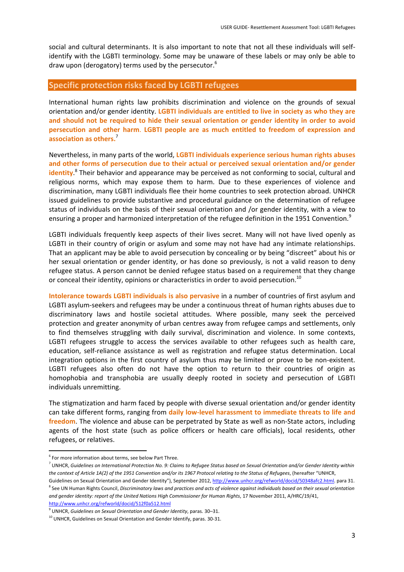social and cultural determinants. It is also important to note that not all these individuals will self‐ identify with the LGBTI terminology. Some may be unaware of these labels or may only be able to draw upon (derogatory) terms used by the persecutor.<sup>6</sup>

### **Specific protection risks faced by LGBTI refugees**

International human rights law prohibits discrimination and violence on the grounds of sexual orientation and/or gender identity. **LGBTI individuals are entitled to live in society as who they are and should not be required to hide their sexual orientation or gender identity in order to avoid persecution and other harm**. **LGBTI people are as much entitled to freedom of expression and association as others.**<sup>7</sup>

Nevertheless, in many parts of the world, **LGBTI individuals experience serious human rights abuses and other forms of persecution due to their actual or perceived sexual orientation and/or gender identity**. <sup>8</sup> Their behavior and appearance may be perceived as not conforming to social, cultural and religious norms, which may expose them to harm. Due to these experiences of violence and discrimination, many LGBTI individuals flee their home countries to seek protection abroad. UNHCR issued guidelines to provide substantive and procedural guidance on the determination of refugee status of individuals on the basis of their sexual orientation and /or gender identity, with a view to ensuring a proper and harmonized interpretation of the refugee definition in the 1951 Convention.<sup>9</sup>

LGBTI individuals frequently keep aspects of their lives secret. Many will not have lived openly as LGBTI in their country of origin or asylum and some may not have had any intimate relationships. That an applicant may be able to avoid persecution by concealing or by being "discreet" about his or her sexual orientation or gender identity, or has done so previously, is not a valid reason to deny refugee status. A person cannot be denied refugee status based on a requirement that they change or conceal their identity, opinions or characteristics in order to avoid persecution.<sup>10</sup>

**Intolerance towards LGBTI individuals is also pervasive** in a number of countries of first asylum and LGBTI asylum‐seekers and refugees may be under a continuous threat of human rights abuses due to discriminatory laws and hostile societal attitudes. Where possible, many seek the perceived protection and greater anonymity of urban centres away from refugee camps and settlements, only to find themselves struggling with daily survival, discrimination and violence. In some contexts, LGBTI refugees struggle to access the services available to other refugees such as health care, education, self‐reliance assistance as well as registration and refugee status determination. Local integration options in the first country of asylum thus may be limited or prove to be non‐existent. LGBTI refugees also often do not have the option to return to their countries of origin as homophobia and transphobia are usually deeply rooted in society and persecution of LGBTI individuals unremitting.

The stigmatization and harm faced by people with diverse sexual orientation and/or gender identity can take different forms, ranging from **daily low‐level harassment to immediate threats to life and** freedom. The violence and abuse can be perpetrated by State as well as non-State actors, including agents of the host state (such as police officers or health care officials), local residents, other refugees, or relatives.

 $6$  For more information about terms, see below Part Three.

<sup>&</sup>lt;sup>7</sup> UNHCR, Guidelines on International Protection No. 9: Claims to Refugee Status based on Sexual Orientation and/or Gender Identity within the context of Article 1A(2) of the 1951 Convention and/or its 1967 Protocol relating to the Status of Refugees, (hereafter "UNHCR,

Guidelines on Sexual Orientation and Gender Identity"), September 2012, http://www.unhcr.org/refworld/docid/50348afc2.html. para 31. <sup>8</sup> See UN Human Rights Council, Discriminatory laws and practices and acts of violence against individuals based on their sexual orientation *and gender identity: report of the United Nations High Commissioner for Human Rights*, 17 November 2011, A/HRC/19/41, http://www.unhcr.org/refworld/docid/512f0a512.html

<sup>9</sup> UNHCR, *Guidelines on Sexual Orientation and Gender Identity*, paras. 30–31.

 $10$  UNHCR, Guidelines on Sexual Orientation and Gender Identify, paras. 30-31.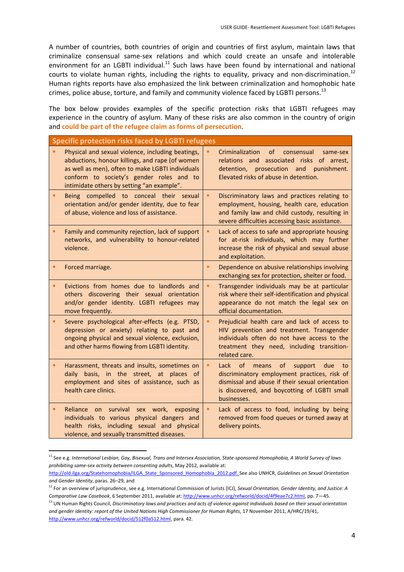A number of countries, both countries of origin and countries of first asylum, maintain laws that criminalize consensual same‐sex relations and which could create an unsafe and intolerable environment for an LGBTI individual.<sup>11</sup> Such laws have been found by international and national courts to violate human rights, including the rights to equality, privacy and non-discrimination.<sup>12</sup> Human rights reports have also emphasized the link between criminalization and homophobic hate crimes, police abuse, torture, and family and community violence faced by LGBTI persons.<sup>13</sup>

The box below provides examples of the specific protection risks that LGBTI refugees may experience in the country of asylum. Many of these risks are also common in the country of origin and **could be part of the refugee claim as forms of persecution**.

| <b>Specific protection risks faced by LGBTI refugees</b>                                                                                                                                                                                           |   |                                                                                                                                                                                                                     |  |
|----------------------------------------------------------------------------------------------------------------------------------------------------------------------------------------------------------------------------------------------------|---|---------------------------------------------------------------------------------------------------------------------------------------------------------------------------------------------------------------------|--|
| Physical and sexual violence, including beatings,<br>abductions, honour killings, and rape (of women<br>as well as men), often to make LGBTI individuals<br>conform to society's gender roles and to<br>intimidate others by setting "an example". |   | Criminalization<br>of<br>consensual<br>same-sex<br>relations and associated risks of arrest,<br>prosecution and punishment.<br>detention,<br>Elevated risks of abuse in detention.                                  |  |
| Being compelled to conceal their sexual<br>orientation and/or gender identity, due to fear<br>of abuse, violence and loss of assistance.                                                                                                           | ٠ | Discriminatory laws and practices relating to<br>employment, housing, health care, education<br>and family law and child custody, resulting in<br>severe difficulties accessing basic assistance.                   |  |
| Family and community rejection, lack of support<br>networks, and vulnerability to honour-related<br>violence.                                                                                                                                      | ٠ | Lack of access to safe and appropriate housing<br>for at-risk individuals, which may further<br>increase the risk of physical and sexual abuse<br>and exploitation.                                                 |  |
| Forced marriage.                                                                                                                                                                                                                                   | ٠ | Dependence on abusive relationships involving<br>exchanging sex for protection, shelter or food.                                                                                                                    |  |
| Evictions from homes due to landlords and<br>others discovering their sexual orientation<br>and/or gender identity. LGBTI refugees may<br>move frequently.                                                                                         | ٠ | Transgender individuals may be at particular<br>risk where their self-identification and physical<br>appearance do not match the legal sex on<br>official documentation.                                            |  |
| Severe psychological after-effects (e.g. PTSD,<br>depression or anxiety) relating to past and<br>ongoing physical and sexual violence, exclusion,<br>and other harms flowing from LGBTI identity.                                                  | ٠ | Prejudicial health care and lack of access to<br>HIV prevention and treatment. Transgender<br>individuals often do not have access to the<br>treatment they need, including transition-<br>related care.            |  |
| Harassment, threats and insults, sometimes on<br>daily basis, in the street, at places of<br>employment and sites of assistance, such as<br>health care clinics.                                                                                   | ٠ | of<br>Lack<br>of<br>support<br>due<br>means<br>to<br>discriminatory employment practices, risk of<br>dismissal and abuse if their sexual orientation<br>is discovered, and boycotting of LGBTI small<br>businesses. |  |
| Reliance on survival<br>sex work, exposing<br>individuals to various physical dangers and<br>health risks, including sexual and physical<br>violence, and sexually transmitted diseases.                                                           | ٠ | Lack of access to food, including by being<br>removed from food queues or turned away at<br>delivery points.                                                                                                        |  |

  $^{\rm 11}$  See e.g. International Lesbian, Gay, Bisexual, Trans and Intersex Association, State-sponsored Homophobia, A World Survey of laws *prohibiting same‐sex activity between consenting adults*, May 2012, available at:

http://old.ilga.org/Statehomophobia/ILGA\_State\_Sponsored\_Homophobia\_2012.pdf. See also UNHCR, *Guidelines on Sexual Orientation and Gender Identity*, paras. 26–29, and

<sup>12</sup> For an overview of jurisprudence, see e.g. International Commission of Jurists (ICJ), *Sexual Orientation, Gender Identity, and Justice: A Comparative Law Casebook*, 6 September 2011, available at: http://www.unhcr.org/refworld/docid/4f9eae7c2.html, pp. 7—45.

<sup>&</sup>lt;sup>13</sup> UN Human Rights Council, Discriminatory laws and practices and acts of violence against individuals based on their sexual orientation *and gender identity: report of the United Nations High Commissioner for Human Rights*, 17 November 2011, A/HRC/19/41, http://www.unhcr.org/refworld/docid/512f0a512.html, para. 42.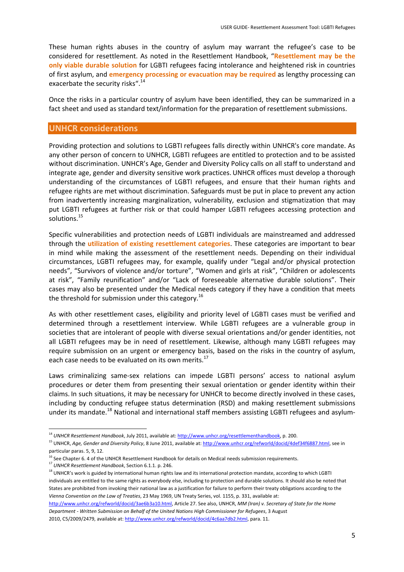These human rights abuses in the country of asylum may warrant the refugee's case to be considered for resettlement. As noted in the Resettlement Handbook, "**Resettlement may be the only viable durable solution** for LGBTI refugees facing intolerance and heightened risk in countries of first asylum, and **emergency processing or evacuation may be required** as lengthy processing can exacerbate the security risks".<sup>14</sup>

Once the risks in a particular country of asylum have been identified, they can be summarized in a fact sheet and used as standard text/information for the preparation of resettlement submissions.

#### **UNHCR considerations**

Providing protection and solutions to LGBTI refugees falls directly within UNHCR's core mandate. As any other person of concern to UNHCR, LGBTI refugees are entitled to protection and to be assisted without discrimination. UNHCR's Age, Gender and Diversity Policy calls on all staff to understand and integrate age, gender and diversity sensitive work practices.UNHCR offices must develop a thorough understanding of the circumstances of LGBTI refugees, and ensure that their human rights and refugee rights are met without discrimination. Safeguards must be put in place to prevent any action from inadvertently increasing marginalization, vulnerability, exclusion and stigmatization that may put LGBTI refugees at further risk or that could hamper LGBTI refugees accessing protection and solutions.<sup>15</sup>

Specific vulnerabilities and protection needs of LGBTI individuals are mainstreamed and addressed through the **utilization of existing resettlement categories**. These categories are important to bear in mind while making the assessment of the resettlement needs. Depending on their individual circumstances, LGBTI refugees may, for example, qualify under "Legal and/or physical protection needs", "Survivors of violence and/or torture", "Women and girls at risk", "Children or adolescents at risk", "Family reunification" and/or "Lack of foreseeable alternative durable solutions". Their cases may also be presented under the Medical needs category if they have a condition that meets the threshold for submission under this category.<sup>16</sup>

As with other resettlement cases, eligibility and priority level of LGBTI cases must be verified and determined through a resettlement interview. While LGBTI refugees are a vulnerable group in societies that are intolerant of people with diverse sexual orientations and/or gender identities, not all LGBTI refugees may be in need of resettlement. Likewise, although many LGBTI refugees may require submission on an urgent or emergency basis, based on the risks in the country of asylum, each case needs to be evaluated on its own merits.<sup>17</sup>

Laws criminalizing same‐sex relations can impede LGBTI persons' access to national asylum procedures or deter them from presenting their sexual orientation or gender identity within their claims. In such situations, it may be necessary for UNHCR to become directly involved in these cases, including by conducting refugee status determination (RSD) and making resettlement submissions under its mandate.<sup>18</sup> National and international staff members assisting LGBTI refugees and asylum-

http://www.unhcr.org/refworld/docid/3ae6b3a10.html, Article 27. See also, UNHCR, *MM (Iran) v. Secretary of State for the Home Department ‐ Written Submission on Behalf of the United Nations High Commissioner for Refugees*, 3 August 2010, C5/2009/2479, available at: http://www.unhcr.org/refworld/docid/4c6aa7db2.html, para. 11.

<sup>14</sup> *UNHCR Resettlement Handbook*, July 2011, available at: http://www.unhcr.org/resettlementhandbook, p. 200.

<sup>15</sup> UNHCR, *Age, Gender and Diversity Policy*, 8 June 2011, available at: http://www.unhcr.org/refworld/docid/4def34f6887.html, see in particular paras. 5, 9, 12.

<sup>&</sup>lt;sup>16</sup> See Chapter 6. 4 of the UNHCR Resettlement Handbook for details on Medical needs submission requirements.

<sup>17</sup> *UNHCR Resettlement Handbook*, Section 6.1.1. p. 246.

<sup>&</sup>lt;sup>18</sup> UNHCR's work is guided by international human rights law and its international protection mandate, according to which LGBTI individuals are entitled to the same rights as everybody else, including to protection and durable solutions. It should also be noted that States are prohibited from invoking their national law as a justification for failure to perform their treaty obligations according to the *Vienna Convention on the Law of Treaties*, 23 May 1969, UN Treaty Series, vol. 1155, p. 331, available at: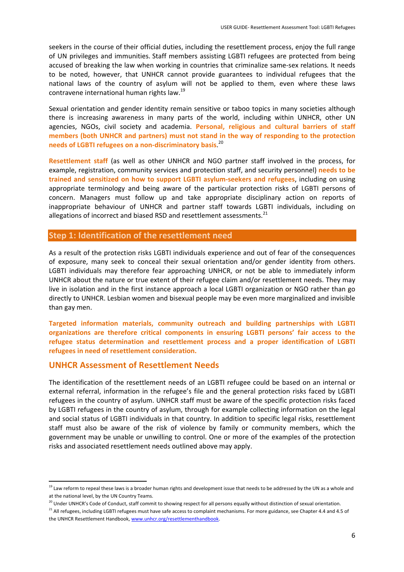seekers in the course of their official duties, including the resettlement process, enjoy the full range of UN privileges and immunities. Staff members assisting LGBTI refugees are protected from being accused of breaking the law when working in countries that criminalize same‐sex relations*.* It needs to be noted, however, that UNHCR cannot provide guarantees to individual refugees that the national laws of the country of asylum will not be applied to them, even where these laws contravene international human rights law.<sup>19</sup>

Sexual orientation and gender identity remain sensitive or taboo topics in many societies although there is increasing awareness in many parts of the world, including within UNHCR, other UN agencies, NGOs, civil society and academia. **Personal, religious and cultural barriers of staff members (both UNHCR and partners) must not stand in the way of responding to the protection needs of LGBTI refugees on a non‐discriminatory basis**. 20

**Resettlement staff** (as well as other UNHCR and NGO partner staff involved in the process, for example, registration, community services and protection staff, and security personnel) **needs to be trained and sensitized on how to support LGBTI asylum‐seekers and refugees**, including on using appropriate terminology and being aware of the particular protection risks of LGBTI persons of concern. Managers must follow up and take appropriate disciplinary action on reports of inappropriate behaviour of UNHCR and partner staff towards LGBTI individuals, including on allegations of incorrect and biased RSD and resettlement assessments.<sup>21</sup>

## **Step 1: Identification of the resettlement need**

As a result of the protection risks LGBTI individuals experience and out of fear of the consequences of exposure, many seek to conceal their sexual orientation and/or gender identity from others. LGBTI individuals may therefore fear approaching UNHCR, or not be able to immediately inform UNHCR about the nature or true extent of their refugee claim and/or resettlement needs. They may live in isolation and in the first instance approach a local LGBTI organization or NGO rather than go directly to UNHCR. Lesbian women and bisexual people may be even more marginalized and invisible than gay men.

**Targeted information materials, community outreach and building partnerships with LGBTI organizations are therefore critical components in ensuring LGBTI persons' fair access to the refugee status determination and resettlement process and a proper identification of LGBTI refugees in need of resettlement consideration.** 

## **UNHCR Assessment of Resettlement Needs**

The identification of the resettlement needs of an LGBTI refugee could be based on an internal or external referral, information in the refugee's file and the general protection risks faced by LGBTI refugees in the country of asylum. UNHCR staff must be aware of the specific protection risks faced by LGBTI refugees in the country of asylum, through for example collecting information on the legal and social status of LGBTI individuals in that country. In addition to specific legal risks, resettlement staff must also be aware of the risk of violence by family or community members, which the government may be unable or unwilling to control. One or more of the examples of the protection risks and associated resettlement needs outlined above may apply.

 <sup>19</sup> Law reform to repeal these laws is a broader human rights and development issue that needs to be addressed by the UN as a whole and at the national level, by the UN Country Teams.

<sup>&</sup>lt;sup>20</sup> Under UNHCR's Code of Conduct, staff commit to showing respect for all persons equally without distinction of sexual orientation.

<sup>&</sup>lt;sup>21</sup> All refugees, including LGBTI refugees must have safe access to complaint mechanisms. For more guidance, see Chapter 4.4 and 4.5 of the UNHCR Resettlement Handbook, www.unhcr.org/resettlementhandbook.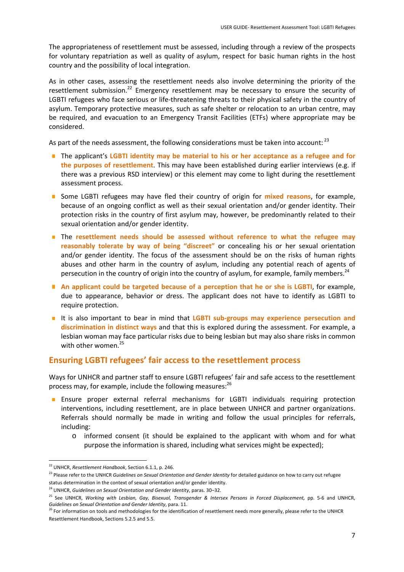The appropriateness of resettlement must be assessed, including through a review of the prospects for voluntary repatriation as well as quality of asylum, respect for basic human rights in the host country and the possibility of local integration.

As in other cases, assessing the resettlement needs also involve determining the priority of the resettlement submission.<sup>22</sup> Emergency resettlement may be necessary to ensure the security of LGBTI refugees who face serious or life-threatening threats to their physical safety in the country of asylum. Temporary protective measures, such as safe shelter or relocation to an urban centre, may be required, and evacuation to an Emergency Transit Facilities (ETFs) where appropriate may be considered.

As part of the needs assessment, the following considerations must be taken into account: <sup>23</sup>

- The applicant's **LGBTI identity may be material to his or her acceptance as a refugee and for the purposes of resettlement**. This may have been established during earlier interviews (e.g. if there was a previous RSD interview) or this element may come to light during the resettlement assessment process.
- Some LGBTI refugees may have fled their country of origin for **mixed reasons**, for example, because of an ongoing conflict as well as their sexual orientation and/or gender identity. Their protection risks in the country of first asylum may, however, be predominantly related to their sexual orientation and/or gender identity.
- The **resettlement needs should be assessed without reference to what the refugee may reasonably tolerate by way of being "discreet"** or concealing his or her sexual orientation and/or gender identity. The focus of the assessment should be on the risks of human rights abuses and other harm in the country of asylum, including any potential reach of agents of persecution in the country of origin into the country of asylum, for example, family members.<sup>24</sup>
- **An applicant could be targeted because of a perception that he or she is LGBTI**, for example, due to appearance, behavior or dress. The applicant does not have to identify as LGBTI to require protection.
- It is also important to bear in mind that LGBTI sub-groups may experience persecution and **discrimination in distinct ways** and that this is explored during the assessment. For example, a lesbian woman may face particular risks due to being lesbian but may also share risks in common with other women.<sup>25</sup>

## **Ensuring LGBTI refugees' fair access to the resettlement process**

Ways for UNHCR and partner staff to ensure LGBTI refugees' fair and safe access to the resettlement process may, for example, include the following measures: $^{26}$ 

- **Ensure proper external referral mechanisms for LGBTI individuals requiring protection** interventions, including resettlement, are in place between UNHCR and partner organizations. Referrals should normally be made in writing and follow the usual principles for referrals, including:
	- o informed consent (it should be explained to the applicant with whom and for what purpose the information is shared, including what services might be expected);

<sup>22</sup> UNHCR, *Resettlement Handbook*, Section 6.1.1, p. 246.

<sup>23</sup> Please refer to the UNHCR *Guidelines on Sexual Orientation and Gender Identity* for detailed guidance on how to carry out refugee status determination in the context of sexual orientation and/or gender identity.

<sup>24</sup> UNHCR, *Guidelines on Sexual Orientation and Gender Identity*, paras. 30–32.

<sup>25</sup> See UNHCR, *Working with Lesbian, Gay, Bisexual, Transgender & Intersex Persons in Forced Displacement,* pp. 5‐6 and UNHCR, *Guidelines on Sexual Orientation and Gender Identity*, para. 11.

<sup>&</sup>lt;sup>26</sup> For information on tools and methodologies for the identification of resettlement needs more generally, please refer to the UNHCR Resettlement Handbook, Sections 5.2.5 and 5.5.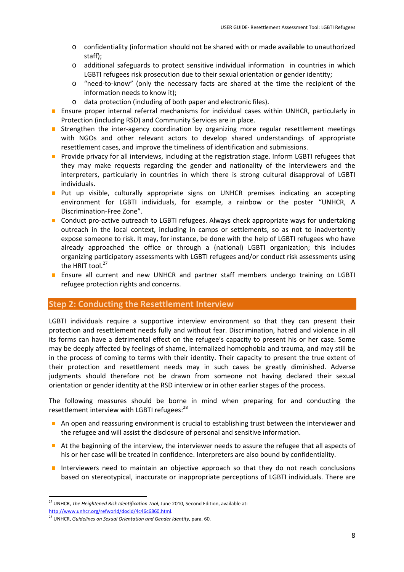- o confidentiality (information should not be shared with or made available to unauthorized staff);
- o additional safeguards to protect sensitive individual information in countries in which LGBTI refugees risk prosecution due to their sexual orientation or gender identity;
- o "need‐to‐know" (only the necessary facts are shared at the time the recipient of the information needs to know it);
- o data protection (including of both paper and electronic files).
- **E** Ensure proper internal referral mechanisms for individual cases within UNHCR, particularly in Protection (including RSD) and Community Services are in place.
- Strengthen the inter-agency coordination by organizing more regular resettlement meetings with NGOs and other relevant actors to develop shared understandings of appropriate resettlement cases, and improve the timeliness of identification and submissions.
- **Provide privacy for all interviews, including at the registration stage. Inform LGBTI refugees that** they may make requests regarding the gender and nationality of the interviewers and the interpreters, particularly in countries in which there is strong cultural disapproval of LGBTI individuals.
- **Put up visible, culturally appropriate signs on UNHCR premises indicating an accepting** environment for LGBTI individuals, for example, a rainbow or the poster "UNHCR, A Discrimination‐Free Zone".
- Conduct pro-active outreach to LGBTI refugees. Always check appropriate ways for undertaking outreach in the local context, including in camps or settlements, so as not to inadvertently expose someone to risk. It may, for instance, be done with the help of LGBTI refugees who have already approached the office or through a (national) LGBTI organization; this includes organizing participatory assessments with LGBTI refugees and/or conduct risk assessments using the HRIT tool.<sup>27</sup>
- **Ensure all current and new UNHCR and partner staff members undergo training on LGBTI** refugee protection rights and concerns.

## **Step 2: Conducting the Resettlement Interview**

LGBTI individuals require a supportive interview environment so that they can present their protection and resettlement needs fully and without fear. Discrimination, hatred and violence in all its forms can have a detrimental effect on the refugee's capacity to present his or her case. Some may be deeply affected by feelings of shame, internalized homophobia and trauma, and may still be in the process of coming to terms with their identity. Their capacity to present the true extent of their protection and resettlement needs may in such cases be greatly diminished. Adverse judgments should therefore not be drawn from someone not having declared their sexual orientation or gender identity at the RSD interview or in other earlier stages of the process.

The following measures should be borne in mind when preparing for and conducting the resettlement interview with LGBTI refugees:<sup>28</sup>

- An open and reassuring environment is crucial to establishing trust between the interviewer and the refugee and will assist the disclosure of personal and sensitive information.
- At the beginning of the interview, the interviewer needs to assure the refugee that all aspects of his or her case will be treated in confidence. Interpreters are also bound by confidentiality.
- Interviewers need to maintain an objective approach so that they do not reach conclusions based on stereotypical, inaccurate or inappropriate perceptions of LGBTI individuals. There are

 <sup>27</sup> UNHCR, *The Heightened Risk Identification Tool*, June 2010, Second Edition, available at:

http://www.unhcr.org/refworld/docid/4c46c6860.html.

<sup>28</sup> UNHCR, *Guidelines on Sexual Orientation and Gender Identity*, para. 60.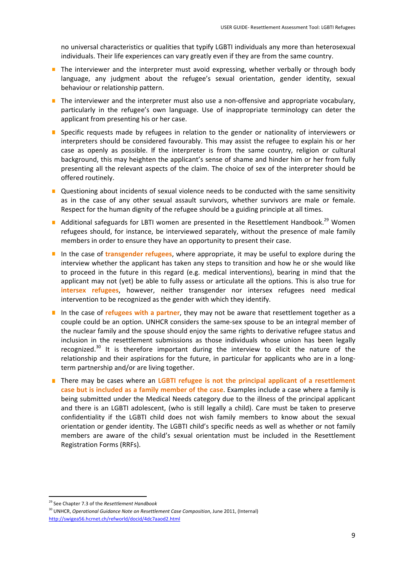no universal characteristics or qualities that typify LGBTI individuals any more than heterosexual individuals. Their life experiences can vary greatly even if they are from the same country.

- $\blacksquare$  The interviewer and the interpreter must avoid expressing, whether verbally or through body language, any judgment about the refugee's sexual orientation, gender identity, sexual behaviour or relationship pattern.
- The interviewer and the interpreter must also use a non-offensive and appropriate vocabulary, particularly in the refugee's own language. Use of inappropriate terminology can deter the applicant from presenting his or her case.
- **Specific requests made by refugees in relation to the gender or nationality of interviewers or** interpreters should be considered favourably. This may assist the refugee to explain his or her case as openly as possible. If the interpreter is from the same country, religion or cultural background, this may heighten the applicant's sense of shame and hinder him or her from fully presenting all the relevant aspects of the claim. The choice of sex of the interpreter should be offered routinely.
- **Questioning about incidents of sexual violence needs to be conducted with the same sensitivity** as in the case of any other sexual assault survivors, whether survivors are male or female. Respect for the human dignity of the refugee should be a guiding principle at all times.
- Additional safeguards for LBTI women are presented in the Resettlement Handbook.<sup>29</sup> Women refugees should, for instance, be interviewed separately, without the presence of male family members in order to ensure they have an opportunity to present their case.
- In the case of **transgender refugees**, where appropriate, it may be useful to explore during the interview whether the applicant has taken any steps to transition and how he or she would like to proceed in the future in this regard (e.g. medical interventions), bearing in mind that the applicant may not (yet) be able to fully assess or articulate all the options. This is also true for **intersex refugees**, however, neither transgender nor intersex refugees need medical intervention to be recognized as the gender with which they identify.
- In the case of **refugees with a partner**, they may not be aware that resettlement together as a  $\blacksquare$ couple could be an option. UNHCR considers the same‐sex spouse to be an integral member of the nuclear family and the spouse should enjoy the same rights to derivative refugee status and inclusion in the resettlement submissions as those individuals whose union has been legally recognized.<sup>30</sup> It is therefore important during the interview to elicit the nature of the relationship and their aspirations for the future, in particular for applicants who are in a longterm partnership and/or are living together.
- There may be cases where an **LGBTI refugee is not the principal applicant of a resettlement case but is included as a family member of the case**. Examples include a case where a family is being submitted under the Medical Needs category due to the illness of the principal applicant and there is an LGBTI adolescent, (who is still legally a child). Care must be taken to preserve confidentiality if the LGBTI child does not wish family members to know about the sexual orientation or gender identity. The LGBTI child's specific needs as well as whether or not family members are aware of the child's sexual orientation must be included in the Resettlement Registration Forms (RRFs).

 <sup>29</sup> See Chapter 7.3 of the *Resettlement Handbook*

<sup>30</sup> UNHCR, *Operational Guidance Note on Resettlement Case Composition*, June 2011, (Internal) http://swigea56.hcrnet.ch/refworld/docid/4dc7aaod2.html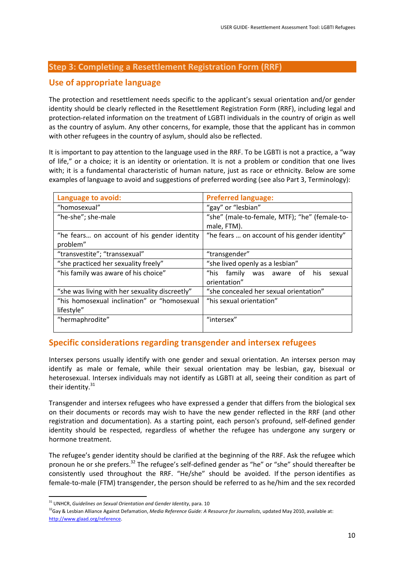## **Step 3: Completing a Resettlement Registration Form (RRF)**

## **Use of appropriate language**

The protection and resettlement needs specific to the applicant's sexual orientation and/or gender identity should be clearly reflected in the Resettlement Registration Form (RRF), including legal and protection‐related information on the treatment of LGBTI individuals in the country of origin as well as the country of asylum. Any other concerns, for example, those that the applicant has in common with other refugees in the country of asylum, should also be reflected.

It is important to pay attention to the language used in the RRF. To be LGBTI is not a practice, a "way of life," or a choice; it is an identity or orientation. It is not a problem or condition that one lives with; it is a fundamental characteristic of human nature, just as race or ethnicity. Below are some examples of language to avoid and suggestions of preferred wording (see also Part 3, Terminology):

| Language to avoid:                             | <b>Preferred language:</b>                    |  |  |  |
|------------------------------------------------|-----------------------------------------------|--|--|--|
| "homosexual"                                   | "gay" or "lesbian"                            |  |  |  |
| "he-she"; she-male                             | "she" (male-to-female, MTF); "he" (female-to- |  |  |  |
|                                                | male, FTM).                                   |  |  |  |
| "he fears on account of his gender identity    | "he fears  on account of his gender identity" |  |  |  |
| problem"                                       |                                               |  |  |  |
| "transvestite"; "transsexual"                  | "transgender"                                 |  |  |  |
| "she practiced her sexuality freely"           | "she lived openly as a lesbian"               |  |  |  |
| "his family was aware of his choice"           | "his family<br>was aware of his<br>sexual     |  |  |  |
|                                                | orientation"                                  |  |  |  |
| "she was living with her sexuality discreetly" | "she concealed her sexual orientation"        |  |  |  |
| "his homosexual inclination" or "homosexual    | "his sexual orientation"                      |  |  |  |
| lifestyle"                                     |                                               |  |  |  |
| "hermaphrodite"                                | "intersex"                                    |  |  |  |
|                                                |                                               |  |  |  |

## **Specific considerations regarding transgender and intersex refugees**

Intersex persons usually identify with one gender and sexual orientation. An intersex person may identify as male or female, while their sexual orientation may be lesbian, gay, bisexual or heterosexual. Intersex individuals may not identify as LGBTI at all, seeing their condition as part of their identity. $31$ 

Transgender and intersex refugees who have expressed a gender that differs from the biological sex on their documents or records may wish to have the new gender reflected in the RRF (and other registration and documentation). As a starting point, each person's profound, self‐defined gender identity should be respected, regardless of whether the refugee has undergone any surgery or hormone treatment.

The refugee's gender identity should be clarified at the beginning of the RRF. Ask the refugee which pronoun he or she prefers.<sup>32</sup> The refugee's self-defined gender as "he" or "she" should thereafter be consistently used throughout the RRF. "He/she" should be avoided. If the person identifies as female-to-male (FTM) transgender, the person should be referred to as he/him and the sex recorded

 <sup>31</sup> UNHCR, *Guidelines on Sexual Orientation and Gender Identity*, para. 10

<sup>32</sup>Gay & Lesbian Alliance Against Defamation, *Media Reference Guide: A Resource for Journalists*, updated May 2010, available at: http://www.glaad.org/reference.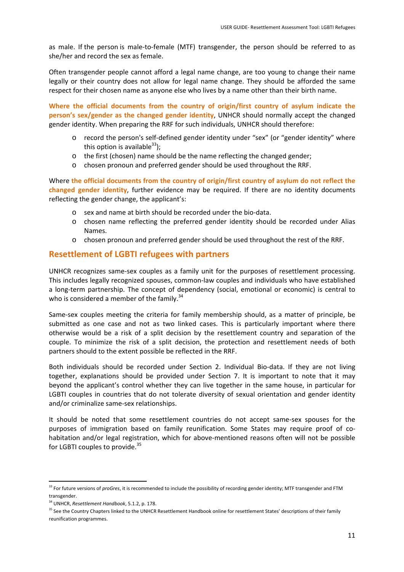as male. If the person is male‐to‐female (MTF) transgender, the person should be referred to as she/her and record the sex as female.

Often transgender people cannot afford a legal name change, are too young to change their name legally or their country does not allow for legal name change. They should be afforded the same respect for their chosen name as anyone else who lives by a name other than their birth name.

**Where the official documents from the country of origin/first country of asylum indicate the person's sex/gender as the changed gender identity**, UNHCR should normally accept the changed gender identity. When preparing the RRF for such individuals, UNHCR should therefore:

- o record the person's self‐defined gender identity under "sex" (or "gender identity" where this option is available  $33$ );
- o the first (chosen) name should be the name reflecting the changed gender;
- o chosen pronoun and preferred gender should be used throughout the RRF.

Where **the official documents from the country of origin/first country of asylum do not reflect the changed gender identity**, further evidence may be required. If there are no identity documents reflecting the gender change, the applicant's:

- o sex and name at birth should be recorded under the bio‐data.
- o chosen name reflecting the preferred gender identity should be recorded under Alias Names.
- o chosen pronoun and preferred gender should be used throughout the rest of the RRF.

## **Resettlement of LGBTI refugees with partners**

UNHCR recognizes same‐sex couples as a family unit for the purposes of resettlement processing. This includes legally recognized spouses, common‐law couples and individuals who have established a long‐term partnership. The concept of dependency (social, emotional or economic) is central to who is considered a member of the family. $34$ 

Same‐sex couples meeting the criteria for family membership should, as a matter of principle, be submitted as one case and not as two linked cases. This is particularly important where there otherwise would be a risk of a split decision by the resettlement country and separation of the couple. To minimize the risk of a split decision, the protection and resettlement needs of both partners should to the extent possible be reflected in the RRF.

Both individuals should be recorded under Section 2. Individual Bio‐data. If they are not living together, explanations should be provided under Section 7. It is important to note that it may beyond the applicant's control whether they can live together in the same house, in particular for LGBTI couples in countries that do not tolerate diversity of sexual orientation and gender identity and/or criminalize same‐sex relationships.

It should be noted that some resettlement countries do not accept same‐sex spouses for the purposes of immigration based on family reunification. Some States may require proof of co‐ habitation and/or legal registration, which for above-mentioned reasons often will not be possible for LGBTI couples to provide.<sup>35</sup>

 <sup>33</sup> For future versions of *proGres*, it is recommended to include the possibility of recording gender identity; MTF transgender and FTM transgender.

<sup>34</sup> UNHCR, *Resettlement Handbook*, 5.1.2, p. 178.

<sup>&</sup>lt;sup>35</sup> See the Country Chapters linked to the UNHCR Resettlement Handbook online for resettlement States' descriptions of their family reunification programmes.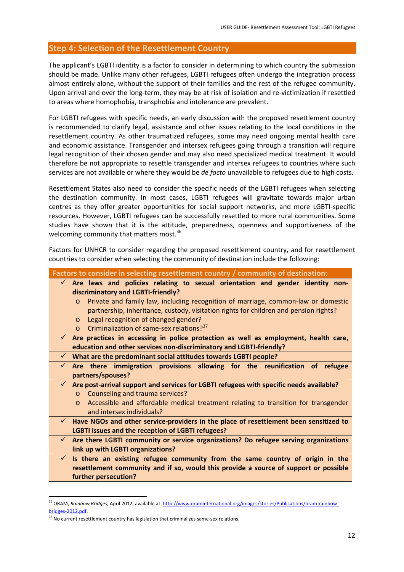## **Step 4: Selection of the Resettlement Country**

The applicant's LGBTI identity is a factor to consider in determining to which country the submission should be made. Unlike many other refugees, LGBTI refugees often undergo the integration process almost entirely alone, without the support of their families and the rest of the refugee community. Upon arrival and over the long‐term, they may be at risk of isolation and re‐victimization if resettled to areas where homophobia, transphobia and intolerance are prevalent.

For LGBTI refugees with specific needs, an early discussion with the proposed resettlement country is recommended to clarify legal, assistance and other issues relating to the local conditions in the resettlement country. As other traumatized refugees, some may need ongoing mental health care and economic assistance. Transgender and intersex refugees going through a transition will require legal recognition of their chosen gender and may also need specialized medical treatment. It would therefore be not appropriate to resettle transgender and intersex refugees to countries where such services are not available or where they would be *de facto* unavailable to refugees due to high costs.

Resettlement States also need to consider the specific needs of the LGBTI refugees when selecting the destination community. In most cases, LGBTI refugees will gravitate towards major urban centres as they offer greater opportunities for social support networks, and more LGBTI‐specific resources. However, LGBTI refugees can be successfully resettled to more rural communities. Some studies have shown that it is the attitude, preparedness, openness and supportiveness of the welcoming community that matters most. $36$ 

Factors for UNHCR to consider regarding the proposed resettlement country, and for resettlement countries to consider when selecting the community of destination include the following:

|              | Factors to consider in selecting resettlement country / community of destination:                 |
|--------------|---------------------------------------------------------------------------------------------------|
|              | $\checkmark$ Are laws and policies relating to sexual orientation and gender identity non-        |
|              | discriminatory and LGBTI-friendly?                                                                |
|              | Private and family law, including recognition of marriage, common-law or domestic<br>$\Omega$     |
|              | partnership, inheritance, custody, visitation rights for children and pension rights?             |
|              | Legal recognition of changed gender?<br>$\circ$                                                   |
|              | Criminalization of same-sex relations? <sup>37</sup><br>$\Omega$                                  |
|              | $\checkmark$ Are practices in accessing in police protection as well as employment, health care,  |
|              | education and other services non-discriminatory and LGBTI-friendly?                               |
|              | $\checkmark$ What are the predominant social attitudes towards LGBTI people?                      |
|              | $\checkmark$ Are there immigration provisions allowing for the reunification of refugee           |
|              | partners/spouses?                                                                                 |
| $\checkmark$ | Are post-arrival support and services for LGBTI refugees with specific needs available?           |
|              | Counseling and trauma services?<br>$\Omega$                                                       |
|              | Accessible and affordable medical treatment relating to transition for transgender<br>$\Omega$    |
|              | and intersex individuals?                                                                         |
| $\checkmark$ | Have NGOs and other service-providers in the place of resettlement been sensitized to             |
|              | LGBTI issues and the reception of LGBTI refugees?                                                 |
|              | $\checkmark$ Are there LGBTI community or service organizations? Do refugee serving organizations |
|              | link up with LGBTI organizations?                                                                 |
| $\checkmark$ | Is there an existing refugee community from the same country of origin in the                     |
|              | resettlement community and if so, would this provide a source of support or possible              |
|              | further persecution?                                                                              |

<sup>&</sup>lt;sup>36</sup> ORAM, *Rainbow Bridges*, April 2012, available at: http://www.oraminternational.org/images/stories/Publications/oram-rainbowbridges-2012.pdf

 $37$  No current resettlement country has legislation that criminalizes same-sex relations.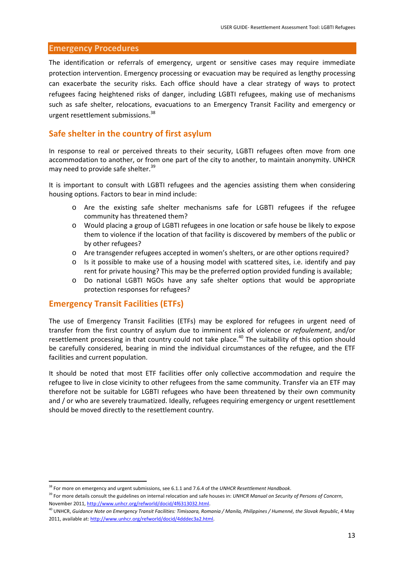## **Emergency Procedures**

The identification or referrals of emergency, urgent or sensitive cases may require immediate protection intervention. Emergency processing or evacuation may be required as lengthy processing can exacerbate the security risks. Each office should have a clear strategy of ways to protect refugees facing heightened risks of danger, including LGBTI refugees, making use of mechanisms such as safe shelter, relocations, evacuations to an Emergency Transit Facility and emergency or urgent resettlement submissions.38

## **Safe shelter in the country of first asylum**

In response to real or perceived threats to their security, LGBTI refugees often move from one accommodation to another, or from one part of the city to another, to maintain anonymity. UNHCR may need to provide safe shelter.<sup>39</sup>

It is important to consult with LGBTI refugees and the agencies assisting them when considering housing options. Factors to bear in mind include:

- o Are the existing safe shelter mechanisms safe for LGBTI refugees if the refugee community has threatened them?
- o Would placing a group of LGBTI refugees in one location or safe house be likely to expose them to violence if the location of that facility is discovered by members of the public or by other refugees?
- o Are transgender refugees accepted in women's shelters, or are other options required?
- o Is it possible to make use of a housing model with scattered sites, i.e. identify and pay rent for private housing? This may be the preferred option provided funding is available;
- o Do national LGBTI NGOs have any safe shelter options that would be appropriate protection responses for refugees?

#### **Emergency Transit Facilities (ETFs)**

The use of Emergency Transit Facilities (ETFs) may be explored for refugees in urgent need of transfer from the first country of asylum due to imminent risk of violence or *refoulement*, and/or resettlement processing in that country could not take place.<sup>40</sup> The suitability of this option should be carefully considered, bearing in mind the individual circumstances of the refugee, and the ETF facilities and current population.

It should be noted that most ETF facilities offer only collective accommodation and require the refugee to live in close vicinity to other refugees from the same community. Transfer via an ETF may therefore not be suitable for LGBTI refugees who have been threatened by their own community and / or who are severely traumatized. Ideally, refugees requiring emergency or urgent resettlement should be moved directly to the resettlement country.

<sup>38</sup> For more on emergency and urgent submissions, see 6.1.1 and 7.6.4 of the *UNHCR Resettlement Handbook*.

<sup>39</sup> For more details consult the guidelines on internal relocation and safe houses in: *UNHCR Manual on Security of Persons of Concern*, November 2011, http://www.unhcr.org/refworld/docid/4f6313032.html.

<sup>&</sup>lt;sup>40</sup> UNHCR, Guidance Note on Emergency Transit Facilities: Timisoara, Romania / Manila, Philippines / Humenné, the Slovak Republic, 4 May 2011, available at: http://www.unhcr.org/refworld/docid/4dddec3a2.html.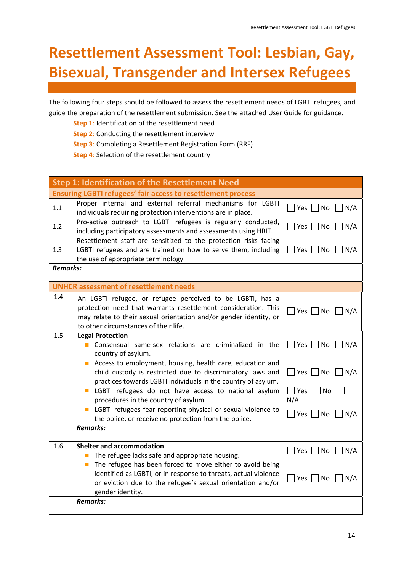# **Resettlement Assessment Tool: Lesbian, Gay, Bisexual, Transgender and Intersex Refugees**

The following four steps should be followed to assess the resettlement needs of LGBTI refugees, and guide the preparation of the resettlement submission. See the attached User Guide for guidance.

**Step 1**: Identification of the resettlement need

**Step 2**: Conducting the resettlement interview

**Step 3**: Completing a Resettlement Registration Form (RRF)

**Step 4**: Selection of the resettlement country

| <b>Step 1: Identification of the Resettlement Need</b>              |                                                                                                                                                                                                                                           |                                 |  |  |
|---------------------------------------------------------------------|-------------------------------------------------------------------------------------------------------------------------------------------------------------------------------------------------------------------------------------------|---------------------------------|--|--|
| <b>Ensuring LGBTI refugees' fair access to resettlement process</b> |                                                                                                                                                                                                                                           |                                 |  |  |
| 1.1                                                                 | Proper internal and external referral mechanisms for LGBTI<br>$\Box$ Yes $\Box$ No<br>$\Box$ N/A<br>individuals requiring protection interventions are in place.                                                                          |                                 |  |  |
| 1.2                                                                 | Pro-active outreach to LGBTI refugees is regularly conducted,<br>including participatory assessments and assessments using HRIT.                                                                                                          | Yes     No<br>$\vert N/A$       |  |  |
| 1.3                                                                 | Resettlement staff are sensitized to the protection risks facing<br>LGBTI refugees and are trained on how to serve them, including<br>the use of appropriate terminology.                                                                 | <b>No</b><br>N/A<br>Yes $ $     |  |  |
| <b>Remarks:</b>                                                     |                                                                                                                                                                                                                                           |                                 |  |  |
|                                                                     | <b>UNHCR assessment of resettlement needs</b>                                                                                                                                                                                             |                                 |  |  |
| 1.4                                                                 | An LGBTI refugee, or refugee perceived to be LGBTI, has a<br>protection need that warrants resettlement consideration. This<br>may relate to their sexual orientation and/or gender identity, or<br>to other circumstances of their life. | $\Box$ Yes $\Box$ No $\Box$ N/A |  |  |
| 1.5                                                                 | <b>Legal Protection</b><br>Consensual same-sex relations are criminalized in the<br><b>T</b><br>country of asylum.                                                                                                                        | Yes     No<br>$\big  N/A$       |  |  |
|                                                                     | Access to employment, housing, health care, education and<br>child custody is restricted due to discriminatory laws and<br>practices towards LGBTI individuals in the country of asylum.                                                  | $\Box$ Yes<br>No<br>N/A         |  |  |
|                                                                     | $\mathcal{L}_{\mathcal{A}}$<br>LGBTI refugees do not have access to national asylum<br>procedures in the country of asylum.                                                                                                               | Yes<br>No<br>N/A                |  |  |
|                                                                     | <b>E</b> LGBTI refugees fear reporting physical or sexual violence to<br>the police, or receive no protection from the police.                                                                                                            | Yes  <br>  No<br>N/A            |  |  |
|                                                                     | <b>Remarks:</b>                                                                                                                                                                                                                           |                                 |  |  |
| 1.6                                                                 | <b>Shelter and accommodation</b>                                                                                                                                                                                                          | Yes $ $ $ $ No<br>N/A           |  |  |
|                                                                     | The refugee lacks safe and appropriate housing.                                                                                                                                                                                           |                                 |  |  |
|                                                                     | The refugee has been forced to move either to avoid being<br>$\Box$<br>identified as LGBTI, or in response to threats, actual violence<br>or eviction due to the refugee's sexual orientation and/or<br>gender identity.                  | $\Box$ Yes $\Box$ No $\Box$ N/A |  |  |
|                                                                     | <b>Remarks:</b>                                                                                                                                                                                                                           |                                 |  |  |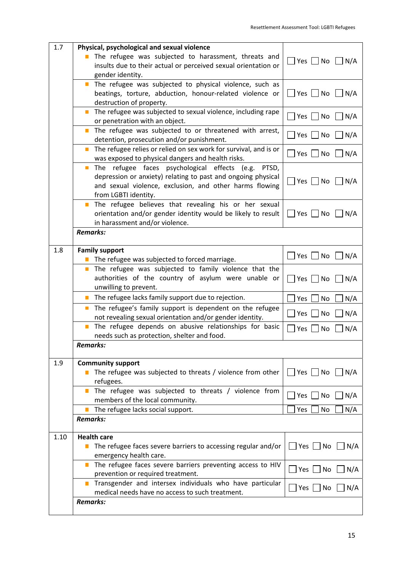| 1.7  | Physical, psychological and sexual violence<br>The refugee was subjected to harassment, threats and<br>insults due to their actual or perceived sexual orientation or                                                                 | $Yes$ No $N/A$                        |
|------|---------------------------------------------------------------------------------------------------------------------------------------------------------------------------------------------------------------------------------------|---------------------------------------|
|      | gender identity.                                                                                                                                                                                                                      |                                       |
|      | The refugee was subjected to physical violence, such as<br>$\Box$<br>beatings, torture, abduction, honour-related violence or<br>destruction of property.                                                                             | Yes $\Box$ No<br>$\Box$ N/A           |
|      | The refugee was subjected to sexual violence, including rape<br>or penetration with an object.                                                                                                                                        | $Yes \tN$ o<br>N/A                    |
|      | The refugee was subjected to or threatened with arrest,<br>detention, prosecution and/or punishment.                                                                                                                                  | Yes $ $<br>No<br>N/A                  |
|      | The refugee relies or relied on sex work for survival, and is or<br>$\mathbb{Z}^2$<br>was exposed to physical dangers and health risks.                                                                                               | Yes $ $ $ $ No<br>$\Box$ N/A          |
|      | The refugee faces psychological effects (e.g. PTSD,<br>$\mathcal{L}_{\mathcal{A}}$<br>depression or anxiety) relating to past and ongoing physical<br>and sexual violence, exclusion, and other harms flowing<br>from LGBTI identity. | $Yes \mid No$<br>$\vert N/A$          |
|      | The refugee believes that revealing his or her sexual<br>$\mathcal{L}_{\mathcal{A}}$<br>orientation and/or gender identity would be likely to result<br>in harassment and/or violence.                                                | Yes $ $ $ $ No<br>$\vert$ $\vert$ N/A |
|      | <b>Remarks:</b>                                                                                                                                                                                                                       |                                       |
| 1.8  | <b>Family support</b><br>The refugee was subjected to forced marriage.                                                                                                                                                                | No<br>Yes $\vert \ \vert$<br>N/A      |
|      | The refugee was subjected to family violence that the<br>$\mathcal{L}_{\mathcal{A}}$<br>authorities of the country of asylum were unable or<br>unwilling to prevent.                                                                  | Yes $ $ $ $ No<br>$\vert N/A$         |
|      | The refugee lacks family support due to rejection.                                                                                                                                                                                    | No<br>N/A<br>Yes                      |
|      | The refugee's family support is dependent on the refugee<br>$\Box$<br>not revealing sexual orientation and/or gender identity.                                                                                                        | N/A<br>No<br>Yes                      |
|      | The refugee depends on abusive relationships for basic<br>$\overline{\phantom{a}}$<br>needs such as protection, shelter and food.                                                                                                     | N/A<br>No<br>Yes                      |
|      | Remarks:                                                                                                                                                                                                                              |                                       |
| 1.9  | <b>Community support</b>                                                                                                                                                                                                              |                                       |
|      | The refugee was subjected to threats / violence from other<br>refugees.                                                                                                                                                               | Yes   No   N/A                        |
|      | The refugee was subjected to threats / violence from<br>$\Box$<br>members of the local community.                                                                                                                                     | N/A<br>Yes $ $<br>No                  |
|      | The refugee lacks social support.<br><b>Remarks:</b>                                                                                                                                                                                  | Yes<br>No<br>N/A                      |
| 1.10 | <b>Health care</b>                                                                                                                                                                                                                    |                                       |
|      | The refugee faces severe barriers to accessing regular and/or<br>emergency health care.                                                                                                                                               | Yes     No<br>N/A                     |
|      | The refugee faces severe barriers preventing access to HIV<br>П<br>prevention or required treatment.                                                                                                                                  | Yes <br>N/A<br>No                     |
|      | Transgender and intersex individuals who have particular<br>$\mathbb{R}^3$<br>medical needs have no access to such treatment.                                                                                                         | $ Yes $ No<br>N/A                     |
|      | <b>Remarks:</b>                                                                                                                                                                                                                       |                                       |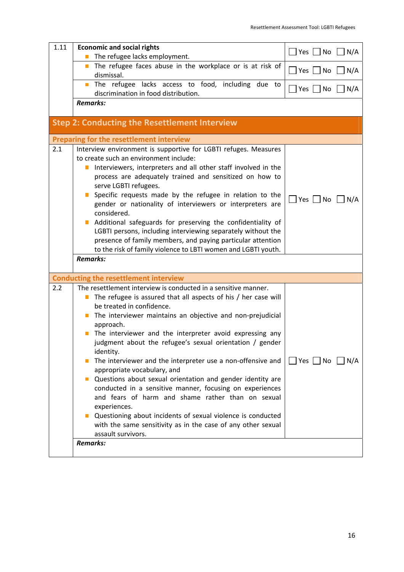| 1.11 | <b>Economic and social rights</b>                                                                                                      | $ Yes $ No<br>$\bigcup N/A$                 |  |
|------|----------------------------------------------------------------------------------------------------------------------------------------|---------------------------------------------|--|
|      | The refugee lacks employment.<br>П<br>The refugee faces abuse in the workplace or is at risk of<br>$\blacksquare$                      |                                             |  |
|      | dismissal.                                                                                                                             | $ Yes $ $ No$<br>N/A                        |  |
|      | The refugee lacks access to food, including due to<br>П<br>discrimination in food distribution.                                        | $\exists$ Yes $\Box$ No<br>N/A              |  |
|      | <b>Remarks:</b>                                                                                                                        |                                             |  |
|      |                                                                                                                                        |                                             |  |
|      | <b>Step 2: Conducting the Resettlement Interview</b>                                                                                   |                                             |  |
|      | <b>Preparing for the resettlement interview</b>                                                                                        |                                             |  |
| 2.1  | Interview environment is supportive for LGBTI refuges. Measures                                                                        |                                             |  |
|      | to create such an environment include:                                                                                                 |                                             |  |
|      | Interviewers, interpreters and all other staff involved in the<br>П<br>process are adequately trained and sensitized on how to         |                                             |  |
|      | serve LGBTI refugees.                                                                                                                  |                                             |  |
|      | Specific requests made by the refugee in relation to the                                                                               | $\neg$ Yes $\neg$ No $\neg$ N/A             |  |
|      | gender or nationality of interviewers or interpreters are                                                                              |                                             |  |
|      | considered.<br>Additional safeguards for preserving the confidentiality of                                                             |                                             |  |
|      | LGBTI persons, including interviewing separately without the                                                                           |                                             |  |
|      | presence of family members, and paying particular attention                                                                            |                                             |  |
|      | to the risk of family violence to LBTI women and LGBTI youth.                                                                          |                                             |  |
|      | <b>Remarks:</b>                                                                                                                        |                                             |  |
|      | <b>Conducting the resettlement interview</b>                                                                                           |                                             |  |
| 2.2  | The resettlement interview is conducted in a sensitive manner.                                                                         |                                             |  |
|      | The refugee is assured that all aspects of his / her case will<br>П                                                                    |                                             |  |
|      | be treated in confidence.<br>The interviewer maintains an objective and non-prejudicial<br>$\overline{\phantom{a}}$                    |                                             |  |
|      | approach.                                                                                                                              |                                             |  |
|      | The interviewer and the interpreter avoid expressing any                                                                               |                                             |  |
|      | judgment about the refugee's sexual orientation / gender<br>identity.                                                                  |                                             |  |
|      | The interviewer and the interpreter use a non-offensive and                                                                            | $\Box$ Yes $\Box$ No<br>$\vert$ $\vert$ N/A |  |
|      | appropriate vocabulary, and                                                                                                            |                                             |  |
|      | Questions about sexual orientation and gender identity are<br>$\mathbf{L}$<br>conducted in a sensitive manner, focusing on experiences |                                             |  |
|      | and fears of harm and shame rather than on sexual                                                                                      |                                             |  |
|      | experiences.                                                                                                                           |                                             |  |
|      | Questioning about incidents of sexual violence is conducted                                                                            |                                             |  |
|      | with the same sensitivity as in the case of any other sexual                                                                           |                                             |  |
|      | assault survivors.<br><b>Remarks:</b>                                                                                                  |                                             |  |
|      |                                                                                                                                        |                                             |  |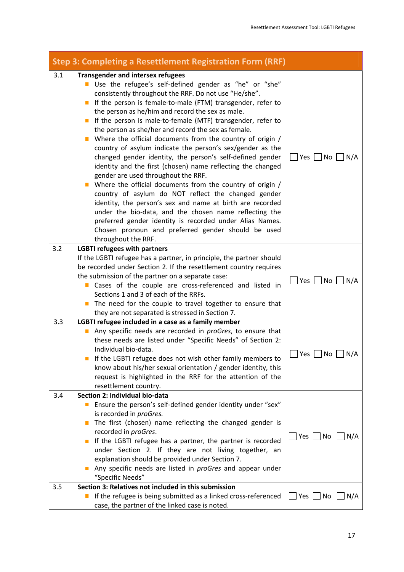| Step 3: Completing a Resettlement Registration Form (RRF) |                                                                                                                                                                                                                                                                                                                                                                                                                                                                                                                                                                                                                                                                                                                                                                                                                                                                                                                                                                                                                                                                                                           |                                 |  |
|-----------------------------------------------------------|-----------------------------------------------------------------------------------------------------------------------------------------------------------------------------------------------------------------------------------------------------------------------------------------------------------------------------------------------------------------------------------------------------------------------------------------------------------------------------------------------------------------------------------------------------------------------------------------------------------------------------------------------------------------------------------------------------------------------------------------------------------------------------------------------------------------------------------------------------------------------------------------------------------------------------------------------------------------------------------------------------------------------------------------------------------------------------------------------------------|---------------------------------|--|
| 3.1                                                       | <b>Transgender and intersex refugees</b><br>Use the refugee's self-defined gender as "he" or "she"<br>consistently throughout the RRF. Do not use "He/she".<br>If the person is female-to-male (FTM) transgender, refer to<br>$\Box$<br>the person as he/him and record the sex as male.<br>If the person is male-to-female (MTF) transgender, refer to<br>$\Box$<br>the person as she/her and record the sex as female.<br>Where the official documents from the country of origin /<br>country of asylum indicate the person's sex/gender as the<br>changed gender identity, the person's self-defined gender<br>identity and the first (chosen) name reflecting the changed<br>gender are used throughout the RRF.<br>Where the official documents from the country of origin /<br>country of asylum do NOT reflect the changed gender<br>identity, the person's sex and name at birth are recorded<br>under the bio-data, and the chosen name reflecting the<br>preferred gender identity is recorded under Alias Names.<br>Chosen pronoun and preferred gender should be used<br>throughout the RRF. | $\Box$ Yes $\Box$ No $\Box$ N/A |  |
| 3.2                                                       | <b>LGBTI refugees with partners</b><br>If the LGBTI refugee has a partner, in principle, the partner should<br>be recorded under Section 2. If the resettlement country requires<br>the submission of the partner on a separate case:<br>Cases of the couple are cross-referenced and listed in<br>Sections 1 and 3 of each of the RRFs.<br>The need for the couple to travel together to ensure that<br>ш<br>they are not separated is stressed in Section 7.                                                                                                                                                                                                                                                                                                                                                                                                                                                                                                                                                                                                                                            | Yes No N/A                      |  |
| 3.3<br>3.4                                                | LGBTI refugee included in a case as a family member<br>Any specific needs are recorded in proGres, to ensure that<br>these needs are listed under "Specific Needs" of Section 2:<br>Individual bio-data.<br>If the LGBTI refugee does not wish other family members to<br>know about his/her sexual orientation / gender identity, this<br>request is highlighted in the RRF for the attention of the<br>resettlement country.<br>Section 2: Individual bio-data<br>Ensure the person's self-defined gender identity under "sex"                                                                                                                                                                                                                                                                                                                                                                                                                                                                                                                                                                          | Yes<br>N/A<br>No                |  |
|                                                           | is recorded in proGres.<br>The first (chosen) name reflecting the changed gender is<br>recorded in proGres.<br>If the LGBTI refugee has a partner, the partner is recorded<br>$\mathbb{Z}$<br>under Section 2. If they are not living together, an<br>explanation should be provided under Section 7.<br>Any specific needs are listed in proGres and appear under<br>"Specific Needs"                                                                                                                                                                                                                                                                                                                                                                                                                                                                                                                                                                                                                                                                                                                    | $\Box$ Yes $\Box$ No $\Box$ N/A |  |
| 3.5                                                       | Section 3: Relatives not included in this submission<br>If the refugee is being submitted as a linked cross-referenced<br>$\mathbb{R}^n$<br>case, the partner of the linked case is noted.                                                                                                                                                                                                                                                                                                                                                                                                                                                                                                                                                                                                                                                                                                                                                                                                                                                                                                                | Yes $ $<br>  No<br>N/A          |  |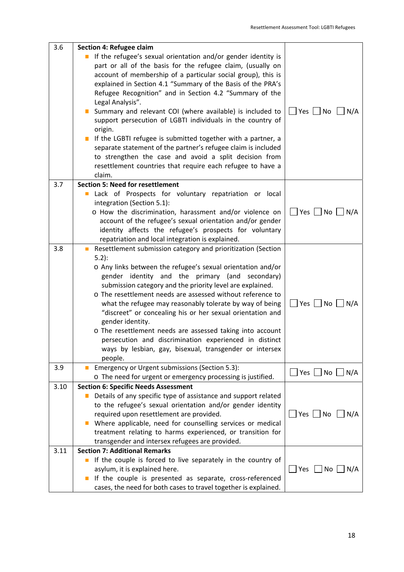| 3.6  | Section 4: Refugee claim<br>If the refugee's sexual orientation and/or gender identity is<br>$\blacksquare$<br>part or all of the basis for the refugee claim, (usually on<br>account of membership of a particular social group), this is<br>explained in Section 4.1 "Summary of the Basis of the PRA's<br>Refugee Recognition" and in Section 4.2 "Summary of the<br>Legal Analysis".<br>Summary and relevant COI (where available) is included to<br>support persecution of LGBTI individuals in the country of<br>origin.<br>If the LGBTI refugee is submitted together with a partner, a<br>separate statement of the partner's refugee claim is included<br>to strengthen the case and avoid a split decision from<br>resettlement countries that require each refugee to have a<br>claim. | $\Box$ Yes $\Box$ No<br>$\vert$ N/A |
|------|---------------------------------------------------------------------------------------------------------------------------------------------------------------------------------------------------------------------------------------------------------------------------------------------------------------------------------------------------------------------------------------------------------------------------------------------------------------------------------------------------------------------------------------------------------------------------------------------------------------------------------------------------------------------------------------------------------------------------------------------------------------------------------------------------|-------------------------------------|
| 3.7  | <b>Section 5: Need for resettlement</b><br>Lack of Prospects for voluntary repatriation or local<br>$\Box$<br>integration (Section 5.1):<br>o How the discrimination, harassment and/or violence on<br>account of the refugee's sexual orientation and/or gender<br>identity affects the refugee's prospects for voluntary<br>repatriation and local integration is explained.                                                                                                                                                                                                                                                                                                                                                                                                                    | $\Box$ Yes $\Box$ No $\Box$ N/A     |
| 3.8  | Resettlement submission category and prioritization (Section<br>$5.2$ :<br>o Any links between the refugee's sexual orientation and/or<br>gender identity and the primary (and secondary)<br>submission category and the priority level are explained.<br>o The resettlement needs are assessed without reference to<br>what the refugee may reasonably tolerate by way of being<br>"discreet" or concealing his or her sexual orientation and<br>gender identity.<br>o The resettlement needs are assessed taking into account<br>persecution and discrimination experienced in distinct<br>ways by lesbian, gay, bisexual, transgender or intersex<br>people.                                                                                                                                   | $Yes$ No $N/A$                      |
| 3.9  | Emergency or Urgent submissions (Section 5.3):<br>o The need for urgent or emergency processing is justified.                                                                                                                                                                                                                                                                                                                                                                                                                                                                                                                                                                                                                                                                                     | $\Box$ Yes $\Box$ No $\Box$ N/A     |
| 3.10 | <b>Section 6: Specific Needs Assessment</b><br>Details of any specific type of assistance and support related<br>to the refugee's sexual orientation and/or gender identity<br>required upon resettlement are provided.<br>Where applicable, need for counselling services or medical<br>treatment relating to harms experienced, or transition for<br>transgender and intersex refugees are provided.                                                                                                                                                                                                                                                                                                                                                                                            | Yes     No<br>N/A                   |
| 3.11 | <b>Section 7: Additional Remarks</b><br>If the couple is forced to live separately in the country of<br>$\mathbb{Z}$<br>asylum, it is explained here.<br>If the couple is presented as separate, cross-referenced<br>cases, the need for both cases to travel together is explained.                                                                                                                                                                                                                                                                                                                                                                                                                                                                                                              |                                     |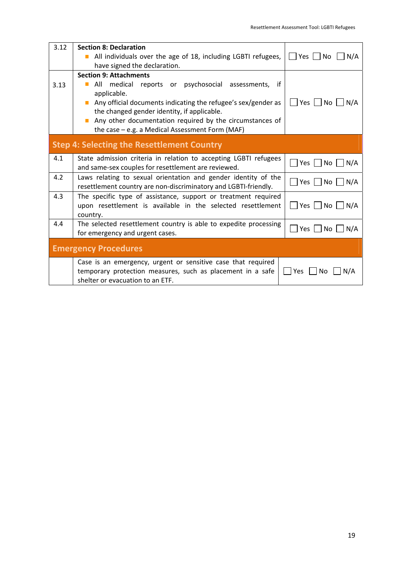| 3.12 | <b>Section 8: Declaration</b>                                                         |                                                         |
|------|---------------------------------------------------------------------------------------|---------------------------------------------------------|
|      | All individuals over the age of 18, including LGBTI refugees,                         | Yes $ $ $ $ No<br>N/A                                   |
|      | have signed the declaration.                                                          |                                                         |
|      | <b>Section 9: Attachments</b>                                                         |                                                         |
| 3.13 | All medical reports or psychosocial assessments,<br>if<br>$\mathcal{L}^{\mathcal{L}}$ |                                                         |
|      | applicable.                                                                           |                                                         |
|      | Any official documents indicating the refugee's sex/gender as                         | │ Yes │ No │ N/A                                        |
|      | the changed gender identity, if applicable.                                           |                                                         |
|      | Any other documentation required by the circumstances of                              |                                                         |
|      | the case - e.g. a Medical Assessment Form (MAF)                                       |                                                         |
|      |                                                                                       |                                                         |
|      | <b>Step 4: Selecting the Resettlement Country</b>                                     |                                                         |
| 4.1  | State admission criteria in relation to accepting LGBTI refugees                      |                                                         |
|      | and same-sex couples for resettlement are reviewed.                                   | $\blacksquare$ Yes $\blacksquare$ No $\blacksquare$ N/A |
| 4.2  | Laws relating to sexual orientation and gender identity of the                        |                                                         |
|      | resettlement country are non-discriminatory and LGBTI-friendly.                       | Yes     No     N/A                                      |
| 4.3  | The specific type of assistance, support or treatment required                        |                                                         |
|      | upon resettlement is available in the selected resettlement                           | Yes   No   N/A                                          |
|      | country.                                                                              |                                                         |
| 4.4  | The selected resettlement country is able to expedite processing                      | Yes   No   N/A                                          |
|      | for emergency and urgent cases.                                                       |                                                         |
|      |                                                                                       |                                                         |
|      | <b>Emergency Procedures</b>                                                           |                                                         |
|      | Case is an emergency, urgent or sensitive case that required                          |                                                         |
|      | temporary protection measures, such as placement in a safe                            | Yes<br>N/A<br>No                                        |
|      | shelter or evacuation to an ETF.                                                      |                                                         |